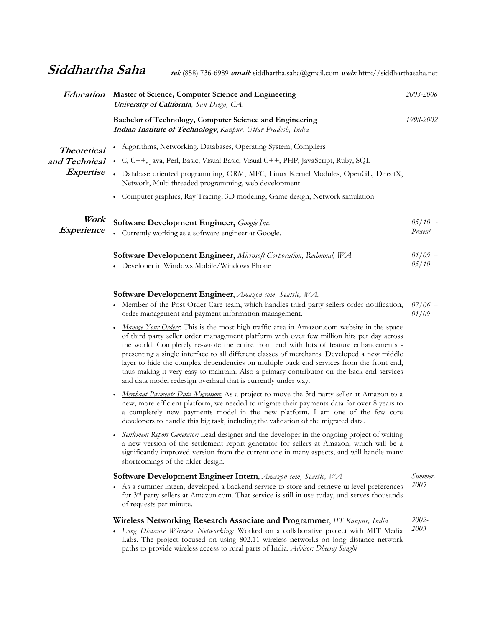| Education                                               | Master of Science, Computer Science and Engineering<br><b>University of California</b> , San Diego, CA.                                   | 2003-2006            |
|---------------------------------------------------------|-------------------------------------------------------------------------------------------------------------------------------------------|----------------------|
| <b>Theoretical</b><br>and Technical<br><i>Expertise</i> | Bachelor of Technology, Computer Science and Engineering<br>Indian Institute of Technology, Kanpur, Uttar Pradesh, India                  | 1998-2002            |
|                                                         | Algorithms, Networking, Databases, Operating System, Compilers                                                                            |                      |
|                                                         | • C, C++, Java, Perl, Basic, Visual Basic, Visual C++, PHP, JavaScript, Ruby, SQL                                                         |                      |
|                                                         | • Database oriented programming, ORM, MFC, Linux Kernel Modules, OpenGL, DirectX,<br>Network, Multi threaded programming, web development |                      |
|                                                         | • Computer graphics, Ray Tracing, 3D modeling, Game design, Network simulation                                                            |                      |
| Work<br><i>Experience</i>                               | Software Development Engineer, Google Inc.<br>• Currently working as a software engineer at Google.                                       | $05/10$ -<br>Present |
|                                                         | <b>Software Development Engineer, Microsoft Corporation, Redmond, WA</b><br>• Developer in Windows Mobile/Windows Phone                   | $01/09$ -<br>05/10   |

## Software Development Engineer, Amazon.com, Seattle, WA.

- Member of the Post Order Care team, which handles third party sellers order notification, order management and payment information management.  $07/06$  – 01/09
- Manage Your Orders: This is the most high traffic area in Amazon.com website in the space of third party seller order management platform with over few million hits per day across the world. Completely re-wrote the entire front end with lots of feature enhancements presenting a single interface to all different classes of merchants. Developed a new middle layer to hide the complex dependencies on multiple back end services from the front end, thus making it very easy to maintain. Also a primary contributor on the back end services and data model redesign overhaul that is currently under way.
- Merchant Payments Data Migration: As a project to move the 3rd party seller at Amazon to a new, more efficient platform, we needed to migrate their payments data for over 8 years to a completely new payments model in the new platform. I am one of the few core developers to handle this big task, including the validation of the migrated data.
- Settlement Report Generator: Lead designer and the developer in the ongoing project of writing a new version of the settlement report generator for sellers at Amazon, which will be a significantly improved version from the current one in many aspects, and will handle many shortcomings of the older design.

| <b>Software Development Engineer Intern, Amazon.com, Seattle, WA</b>                                                                                                                                                               |      |  |
|------------------------------------------------------------------------------------------------------------------------------------------------------------------------------------------------------------------------------------|------|--|
| As a summer intern, developed a backend service to store and retrieve ui level preferences<br>for 3 <sup>rd</sup> party sellers at Amazon.com. That service is still in use today, and serves thousands<br>of requests per minute. | 2005 |  |
| Wireless Networking Research Associate and Programmer, IIT Kanpur, India                                                                                                                                                           |      |  |
| • Long Distance Wireless Networking: Worked on a collaborative project with MIT Media                                                                                                                                              | 2003 |  |
| Labs. The project focused on using 802.11 wireless networks on long distance network                                                                                                                                               |      |  |
| paths to provide wireless access to rural parts of India. Advisor: Dheeraj Sanghi                                                                                                                                                  |      |  |